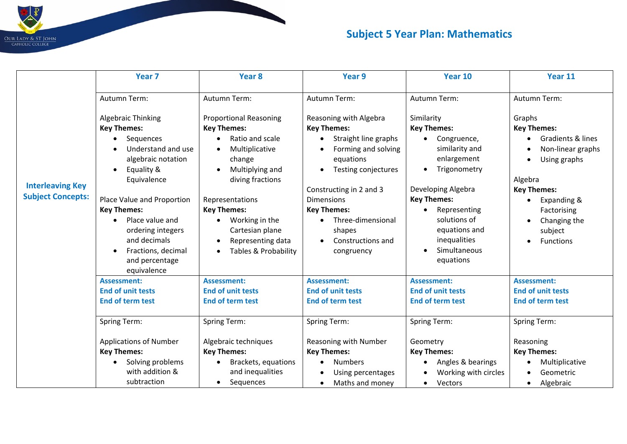## $\overline{D}$ OUR LADY & ST JOHN<br>CAHOLIC COLLEGE

## **Subject 5 Year Plan: Mathematics**

| <b>Interleaving Key</b><br><b>Subject Concepts:</b> | Year <sub>7</sub>                                                                                                                                                                                                                                                                                                           | Year <sub>8</sub>                                                                                                                                                                                                                                                                              | Year 9                                                                                                                                                                                                                                                                               | Year 10                                                                                                                                                                                                                                    | Year 11                                                                                                                                                                                       |
|-----------------------------------------------------|-----------------------------------------------------------------------------------------------------------------------------------------------------------------------------------------------------------------------------------------------------------------------------------------------------------------------------|------------------------------------------------------------------------------------------------------------------------------------------------------------------------------------------------------------------------------------------------------------------------------------------------|--------------------------------------------------------------------------------------------------------------------------------------------------------------------------------------------------------------------------------------------------------------------------------------|--------------------------------------------------------------------------------------------------------------------------------------------------------------------------------------------------------------------------------------------|-----------------------------------------------------------------------------------------------------------------------------------------------------------------------------------------------|
|                                                     | Autumn Term:                                                                                                                                                                                                                                                                                                                | Autumn Term:                                                                                                                                                                                                                                                                                   | Autumn Term:                                                                                                                                                                                                                                                                         | Autumn Term:                                                                                                                                                                                                                               | Autumn Term:                                                                                                                                                                                  |
|                                                     | Algebraic Thinking<br><b>Key Themes:</b><br>Sequences<br>Understand and use<br>algebraic notation<br>Equality &<br>$\bullet$<br>Equivalence<br>Place Value and Proportion<br><b>Key Themes:</b><br>Place value and<br>ordering integers<br>and decimals<br>Fractions, decimal<br>$\bullet$<br>and percentage<br>equivalence | <b>Proportional Reasoning</b><br><b>Key Themes:</b><br>Ratio and scale<br>Multiplicative<br>$\bullet$<br>change<br>Multiplying and<br>$\bullet$<br>diving fractions<br>Representations<br><b>Key Themes:</b><br>Working in the<br>Cartesian plane<br>Representing data<br>Tables & Probability | Reasoning with Algebra<br><b>Key Themes:</b><br>Straight line graphs<br>Forming and solving<br>equations<br>Testing conjectures<br>$\bullet$<br>Constructing in 2 and 3<br><b>Dimensions</b><br><b>Key Themes:</b><br>Three-dimensional<br>shapes<br>Constructions and<br>congruency | Similarity<br><b>Key Themes:</b><br>Congruence,<br>similarity and<br>enlargement<br>Trigonometry<br>Developing Algebra<br><b>Key Themes:</b><br>Representing<br>solutions of<br>equations and<br>inequalities<br>Simultaneous<br>equations | Graphs<br><b>Key Themes:</b><br>Gradients & lines<br>Non-linear graphs<br>Using graphs<br>Algebra<br><b>Key Themes:</b><br>Expanding &<br>Factorising<br>Changing the<br>subject<br>Functions |
|                                                     | <b>Assessment:</b><br><b>End of unit tests</b>                                                                                                                                                                                                                                                                              | <b>Assessment:</b><br><b>End of unit tests</b>                                                                                                                                                                                                                                                 | <b>Assessment:</b><br><b>End of unit tests</b>                                                                                                                                                                                                                                       | <b>Assessment:</b><br><b>End of unit tests</b>                                                                                                                                                                                             | <b>Assessment:</b><br><b>End of unit tests</b>                                                                                                                                                |
|                                                     | <b>End of term test</b>                                                                                                                                                                                                                                                                                                     | <b>End of term test</b>                                                                                                                                                                                                                                                                        | <b>End of term test</b>                                                                                                                                                                                                                                                              | <b>End of term test</b>                                                                                                                                                                                                                    | <b>End of term test</b>                                                                                                                                                                       |
|                                                     | <b>Spring Term:</b>                                                                                                                                                                                                                                                                                                         | <b>Spring Term:</b>                                                                                                                                                                                                                                                                            | Spring Term:                                                                                                                                                                                                                                                                         | <b>Spring Term:</b>                                                                                                                                                                                                                        | <b>Spring Term:</b>                                                                                                                                                                           |
|                                                     | <b>Applications of Number</b><br><b>Key Themes:</b>                                                                                                                                                                                                                                                                         | Algebraic techniques<br><b>Key Themes:</b>                                                                                                                                                                                                                                                     | Reasoning with Number<br><b>Key Themes:</b>                                                                                                                                                                                                                                          | Geometry<br><b>Key Themes:</b>                                                                                                                                                                                                             | Reasoning<br><b>Key Themes:</b>                                                                                                                                                               |
|                                                     | Solving problems<br>with addition &                                                                                                                                                                                                                                                                                         | Brackets, equations<br>and inequalities                                                                                                                                                                                                                                                        | <b>Numbers</b><br>$\bullet$                                                                                                                                                                                                                                                          | Angles & bearings<br>Working with circles                                                                                                                                                                                                  | Multiplicative<br>Geometric                                                                                                                                                                   |
|                                                     | subtraction                                                                                                                                                                                                                                                                                                                 | Sequences<br>$\bullet$                                                                                                                                                                                                                                                                         | Using percentages<br>Maths and money<br>$\bullet$                                                                                                                                                                                                                                    | Vectors<br>$\bullet$                                                                                                                                                                                                                       | Algebraic                                                                                                                                                                                     |

 $\blacksquare$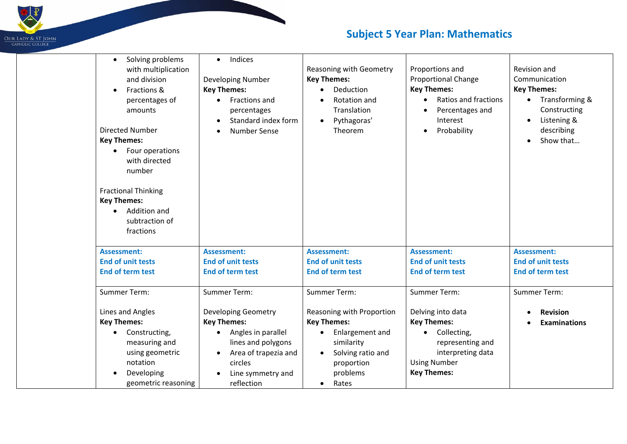

## **Subject 5 Year Plan: Mathematics**

| Solving problems<br>$\bullet$<br>with multiplication<br>and division<br>Fractions &<br>$\bullet$<br>percentages of<br>amounts<br>Directed Number<br><b>Key Themes:</b><br>Four operations<br>with directed<br>number<br><b>Fractional Thinking</b><br><b>Key Themes:</b> | Indices<br>$\bullet$<br><b>Developing Number</b><br><b>Key Themes:</b><br>Fractions and<br>$\bullet$<br>percentages<br>Standard index form<br>Number Sense | Reasoning with Geometry<br><b>Key Themes:</b><br>Deduction<br>Rotation and<br>Translation<br>Pythagoras'<br>$\bullet$<br>Theorem | Proportions and<br><b>Proportional Change</b><br><b>Key Themes:</b><br>Ratios and fractions<br>$\bullet$<br>Percentages and<br>Interest<br>Probability<br>$\bullet$ | Revision and<br>Communication<br><b>Key Themes:</b><br>Transforming &<br>$\bullet$<br>Constructing<br>Listening &<br>describing<br>Show that |
|--------------------------------------------------------------------------------------------------------------------------------------------------------------------------------------------------------------------------------------------------------------------------|------------------------------------------------------------------------------------------------------------------------------------------------------------|----------------------------------------------------------------------------------------------------------------------------------|---------------------------------------------------------------------------------------------------------------------------------------------------------------------|----------------------------------------------------------------------------------------------------------------------------------------------|
| Addition and<br>$\bullet$                                                                                                                                                                                                                                                |                                                                                                                                                            |                                                                                                                                  |                                                                                                                                                                     |                                                                                                                                              |
| subtraction of<br>fractions                                                                                                                                                                                                                                              |                                                                                                                                                            |                                                                                                                                  |                                                                                                                                                                     |                                                                                                                                              |
| <b>Assessment:</b>                                                                                                                                                                                                                                                       | <b>Assessment:</b>                                                                                                                                         | <b>Assessment:</b>                                                                                                               | <b>Assessment:</b>                                                                                                                                                  | <b>Assessment:</b>                                                                                                                           |
| <b>End of unit tests</b>                                                                                                                                                                                                                                                 | <b>End of unit tests</b>                                                                                                                                   | <b>End of unit tests</b>                                                                                                         | <b>End of unit tests</b>                                                                                                                                            | <b>End of unit tests</b>                                                                                                                     |
| <b>End of term test</b>                                                                                                                                                                                                                                                  | <b>End of term test</b>                                                                                                                                    | <b>End of term test</b>                                                                                                          | <b>End of term test</b>                                                                                                                                             | <b>End of term test</b>                                                                                                                      |
| Summer Term:                                                                                                                                                                                                                                                             | Summer Term:                                                                                                                                               | Summer Term:                                                                                                                     | Summer Term:                                                                                                                                                        | Summer Term:                                                                                                                                 |
| Lines and Angles                                                                                                                                                                                                                                                         | <b>Developing Geometry</b>                                                                                                                                 | Reasoning with Proportion                                                                                                        | Delving into data                                                                                                                                                   | <b>Revision</b>                                                                                                                              |
| <b>Key Themes:</b>                                                                                                                                                                                                                                                       | <b>Key Themes:</b>                                                                                                                                         | <b>Key Themes:</b>                                                                                                               | <b>Key Themes:</b>                                                                                                                                                  | <b>Examinations</b>                                                                                                                          |
| Constructing,<br>measuring and<br>using geometric<br>notation<br>Developing<br>geometric reasoning                                                                                                                                                                       | Angles in parallel<br>lines and polygons<br>Area of trapezia and<br>circles<br>Line symmetry and<br>reflection                                             | Enlargement and<br>similarity<br>Solving ratio and<br>proportion<br>problems<br>Rates<br>$\bullet$                               | Collecting,<br>representing and<br>interpreting data<br><b>Using Number</b><br><b>Key Themes:</b>                                                                   |                                                                                                                                              |